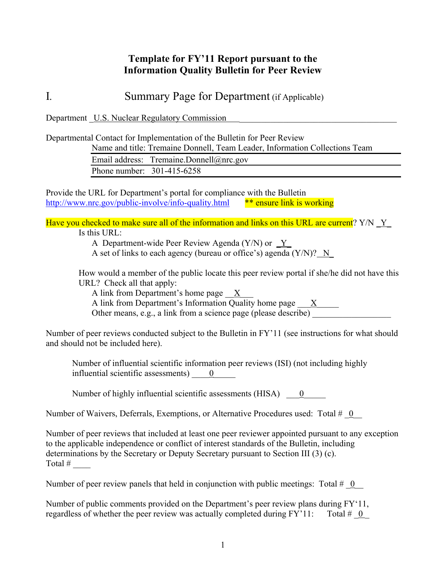## **Template for FY'11 Report pursuant to the Information Quality Bulletin for Peer Review**

I*.* Summary Page for Department (if Applicable)

Department U.S. Nuclear Regulatory Commission

Departmental Contact for Implementation of the Bulletin for Peer Review

Name and title: Tremaine Donnell, Team Leader, Information Collections Team

Email address: Tremaine.Donnell@nrc.gov Phone number: 301-415-6258

Provide the URL for Department's portal for compliance with the Bulletin http://www.nrc.gov/public-involve/info-quality.html \*\* ensure link is working

Have you checked to make sure all of the information and links on this URL are current?  $Y/N \underline{Y}$ Is this URL:

A Department-wide Peer Review Agenda (Y/N) or  $Y$ 

A set of links to each agency (bureau or office's) agenda (Y/N)? N\_

How would a member of the public locate this peer review portal if she/he did not have this URL? Check all that apply:

A link from Department's home page X

A link from Department's Information Quality home page  $\frac{X}{X}$ 

Other means, e.g., a link from a science page (please describe)

Number of peer reviews conducted subject to the Bulletin in FY'11 (see instructions for what should and should not be included here).

Number of influential scientific information peer reviews (ISI) (not including highly influential scientific assessments)  $\qquad 0$ 

Number of highly influential scientific assessments (HISA)  $\qquad 0$ 

Number of Waivers, Deferrals, Exemptions, or Alternative Procedures used: Total #  $\theta$ 

Number of peer reviews that included at least one peer reviewer appointed pursuant to any exception to the applicable independence or conflict of interest standards of the Bulletin, including determinations by the Secretary or Deputy Secretary pursuant to Section III (3) (c). Total  $#$ 

Number of peer review panels that held in conjunction with public meetings: Total  $\#$  0

Number of public comments provided on the Department's peer review plans during FY'11, regardless of whether the peer review was actually completed during  $FY'11$ : Total  $\#$  0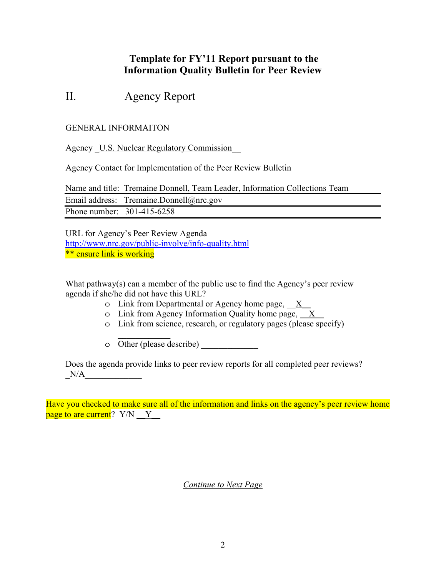## **Template for FY'11 Report pursuant to the Information Quality Bulletin for Peer Review**

# II. Agency Report

### GENERAL INFORMAITON

Agency U.S. Nuclear Regulatory Commission

Agency Contact for Implementation of the Peer Review Bulletin

Name and title: Tremaine Donnell, Team Leader, Information Collections Team Email address: Tremaine.Donnell@nrc.gov Phone number: 301-415-6258

URL for Agency's Peer Review Agenda http://www.nrc.gov/public-involve/info-quality.html \*\* ensure link is working

What pathway(s) can a member of the public use to find the Agency's peer review agenda if she/he did not have this URL?

- o Link from Departmental or Agency home page, \_\_X\_\_
- o Link from Agency Information Quality home page, \_\_X\_\_
- o Link from science, research, or regulatory pages (please specify)
- $\frac{1}{2}$ o Other (please describe) \_\_\_\_\_\_\_\_\_\_\_\_\_

Does the agenda provide links to peer review reports for all completed peer reviews?  $N/A$ 

Have you checked to make sure all of the information and links on the agency's peer review home page to are current?  $Y/N \t Y$ 

*Continue to Next Page*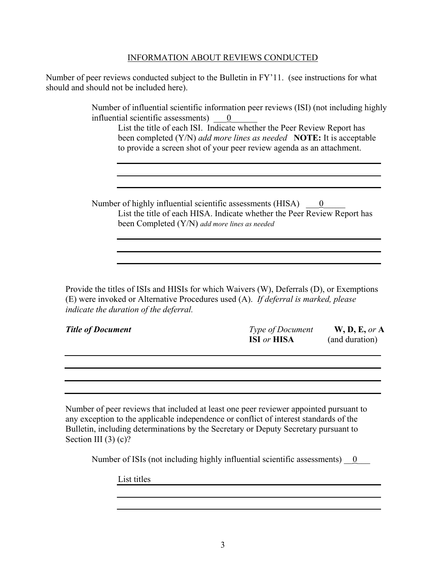#### INFORMATION ABOUT REVIEWS CONDUCTED

Number of peer reviews conducted subject to the Bulletin in FY'11. (see instructions for what should and should not be included here).

> Number of influential scientific information peer reviews (ISI) (not including highly influential scientific assessments)  $\qquad 0$

List the title of each ISI. Indicate whether the Peer Review Report has been completed (Y/N) *add more lines as needed* **NOTE:** It is acceptable to provide a screen shot of your peer review agenda as an attachment.

Number of highly influential scientific assessments (HISA)  $\qquad \underline{0}$ List the title of each HISA. Indicate whether the Peer Review Report has been Completed (Y/N) *add more lines as needed*

Provide the titles of ISIs and HISIs for which Waivers (W), Deferrals (D), or Exemptions (E) were invoked or Alternative Procedures used (A). *If deferral is marked, please indicate the duration of the deferral.*

| <b>Title of Document</b> | <b>Type of Document</b>   | W, D, E, or A  |
|--------------------------|---------------------------|----------------|
|                          | <b>ISI</b> or <b>HISA</b> | (and duration) |

Number of peer reviews that included at least one peer reviewer appointed pursuant to any exception to the applicable independence or conflict of interest standards of the Bulletin, including determinations by the Secretary or Deputy Secretary pursuant to Section III (3) (c)?

Number of ISIs (not including highly influential scientific assessments)  $\qquad 0$ 

List titles